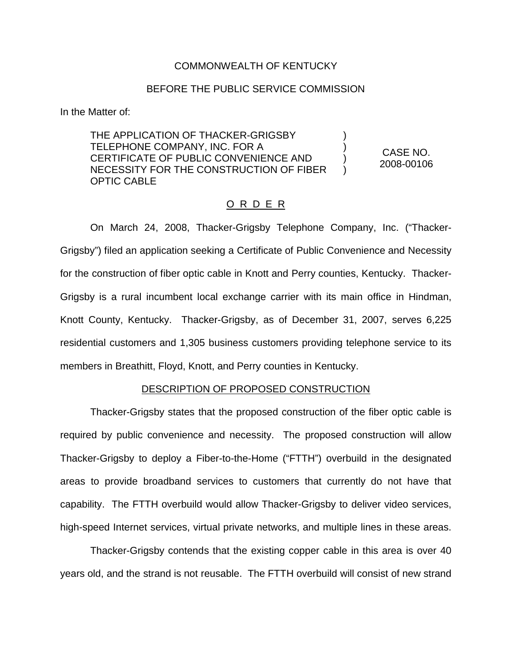## COMMONWEALTH OF KENTUCKY

# BEFORE THE PUBLIC SERVICE COMMISSION

In the Matter of:

THE APPLICATION OF THACKER-GRIGSBY TELEPHONE COMPANY, INC. FOR A CERTIFICATE OF PUBLIC CONVENIENCE AND NECESSITY FOR THE CONSTRUCTION OF FIBER OPTIC CABLE ) ) ) ) CASE NO. 2008-00106

### O R D E R

On March 24, 2008, Thacker-Grigsby Telephone Company, Inc. ("Thacker-Grigsby") filed an application seeking a Certificate of Public Convenience and Necessity for the construction of fiber optic cable in Knott and Perry counties, Kentucky. Thacker-Grigsby is a rural incumbent local exchange carrier with its main office in Hindman, Knott County, Kentucky. Thacker-Grigsby, as of December 31, 2007, serves 6,225 residential customers and 1,305 business customers providing telephone service to its members in Breathitt, Floyd, Knott, and Perry counties in Kentucky.

### DESCRIPTION OF PROPOSED CONSTRUCTION

Thacker-Grigsby states that the proposed construction of the fiber optic cable is required by public convenience and necessity. The proposed construction will allow Thacker-Grigsby to deploy a Fiber-to-the-Home ("FTTH") overbuild in the designated areas to provide broadband services to customers that currently do not have that capability. The FTTH overbuild would allow Thacker-Grigsby to deliver video services, high-speed Internet services, virtual private networks, and multiple lines in these areas.

Thacker-Grigsby contends that the existing copper cable in this area is over 40 years old, and the strand is not reusable. The FTTH overbuild will consist of new strand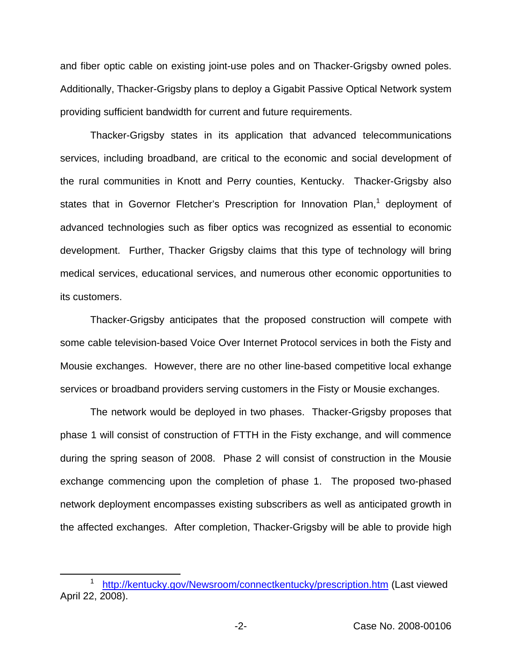and fiber optic cable on existing joint-use poles and on Thacker-Grigsby owned poles. Additionally, Thacker-Grigsby plans to deploy a Gigabit Passive Optical Network system providing sufficient bandwidth for current and future requirements.

Thacker-Grigsby states in its application that advanced telecommunications services, including broadband, are critical to the economic and social development of the rural communities in Knott and Perry counties, Kentucky. Thacker-Grigsby also states that in Governor Fletcher's Prescription for Innovation Plan, $<sup>1</sup>$  deployment of</sup> advanced technologies such as fiber optics was recognized as essential to economic development. Further, Thacker Grigsby claims that this type of technology will bring medical services, educational services, and numerous other economic opportunities to its customers.

Thacker-Grigsby anticipates that the proposed construction will compete with some cable television-based Voice Over Internet Protocol services in both the Fisty and Mousie exchanges. However, there are no other line-based competitive local exhange services or broadband providers serving customers in the Fisty or Mousie exchanges.

The network would be deployed in two phases. Thacker-Grigsby proposes that phase 1 will consist of construction of FTTH in the Fisty exchange, and will commence during the spring season of 2008. Phase 2 will consist of construction in the Mousie exchange commencing upon the completion of phase 1. The proposed two-phased network deployment encompasses existing subscribers as well as anticipated growth in the affected exchanges. After completion, Thacker-Grigsby will be able to provide high

<http://kentucky.gov/Newsroom/connectkentucky/prescription.htm> (Last viewed April 22, 2008).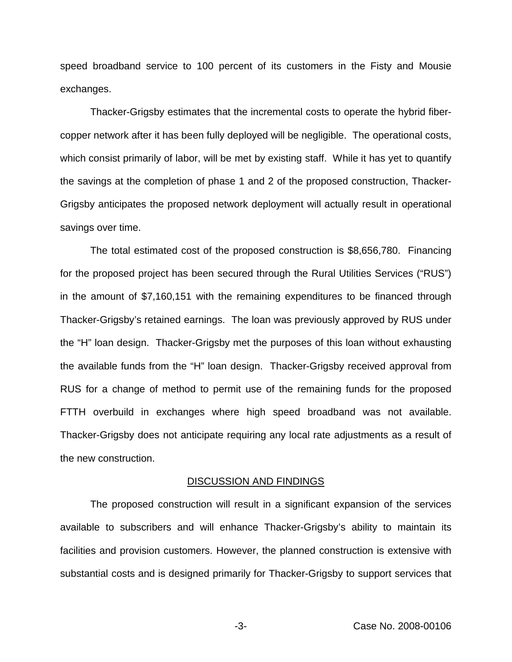speed broadband service to 100 percent of its customers in the Fisty and Mousie exchanges.

Thacker-Grigsby estimates that the incremental costs to operate the hybrid fibercopper network after it has been fully deployed will be negligible. The operational costs, which consist primarily of labor, will be met by existing staff. While it has yet to quantify the savings at the completion of phase 1 and 2 of the proposed construction, Thacker-Grigsby anticipates the proposed network deployment will actually result in operational savings over time.

The total estimated cost of the proposed construction is \$8,656,780. Financing for the proposed project has been secured through the Rural Utilities Services ("RUS") in the amount of \$7,160,151 with the remaining expenditures to be financed through Thacker-Grigsby's retained earnings. The loan was previously approved by RUS under the "H" loan design. Thacker-Grigsby met the purposes of this loan without exhausting the available funds from the "H" loan design. Thacker-Grigsby received approval from RUS for a change of method to permit use of the remaining funds for the proposed FTTH overbuild in exchanges where high speed broadband was not available. Thacker-Grigsby does not anticipate requiring any local rate adjustments as a result of the new construction.

#### DISCUSSION AND FINDINGS

The proposed construction will result in a significant expansion of the services available to subscribers and will enhance Thacker-Grigsby's ability to maintain its facilities and provision customers. However, the planned construction is extensive with substantial costs and is designed primarily for Thacker-Grigsby to support services that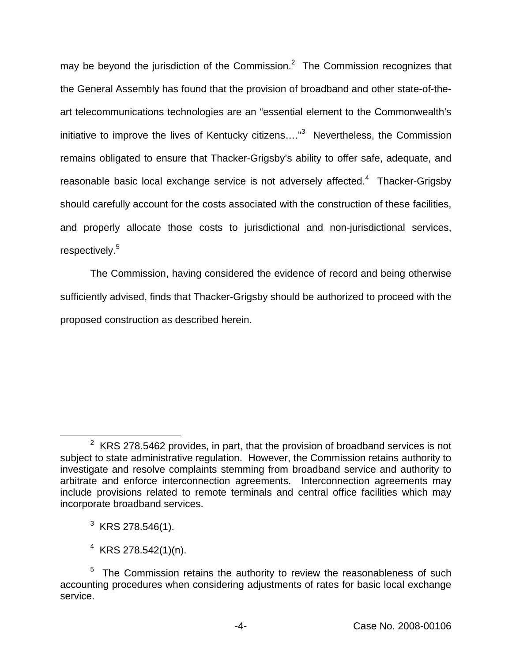may be beyond the jurisdiction of the Commission. $<sup>2</sup>$  The Commission recognizes that</sup> the General Assembly has found that the provision of broadband and other state-of-theart telecommunications technologies are an "essential element to the Commonwealth's initiative to improve the lives of Kentucky citizens...."<sup>3</sup> Nevertheless, the Commission remains obligated to ensure that Thacker-Grigsby's ability to offer safe, adequate, and reasonable basic local exchange service is not adversely affected.<sup>4</sup> Thacker-Grigsby should carefully account for the costs associated with the construction of these facilities, and properly allocate those costs to jurisdictional and non-jurisdictional services, respectively.<sup>5</sup>

The Commission, having considered the evidence of record and being otherwise sufficiently advised, finds that Thacker-Grigsby should be authorized to proceed with the proposed construction as described herein.

- $3$  KRS 278.546(1).
- $4$  KRS 278.542(1)(n).

 $2$  KRS 278.5462 provides, in part, that the provision of broadband services is not subject to state administrative regulation. However, the Commission retains authority to investigate and resolve complaints stemming from broadband service and authority to arbitrate and enforce interconnection agreements. Interconnection agreements may include provisions related to remote terminals and central office facilities which may incorporate broadband services.

 $5$  The Commission retains the authority to review the reasonableness of such accounting procedures when considering adjustments of rates for basic local exchange service.